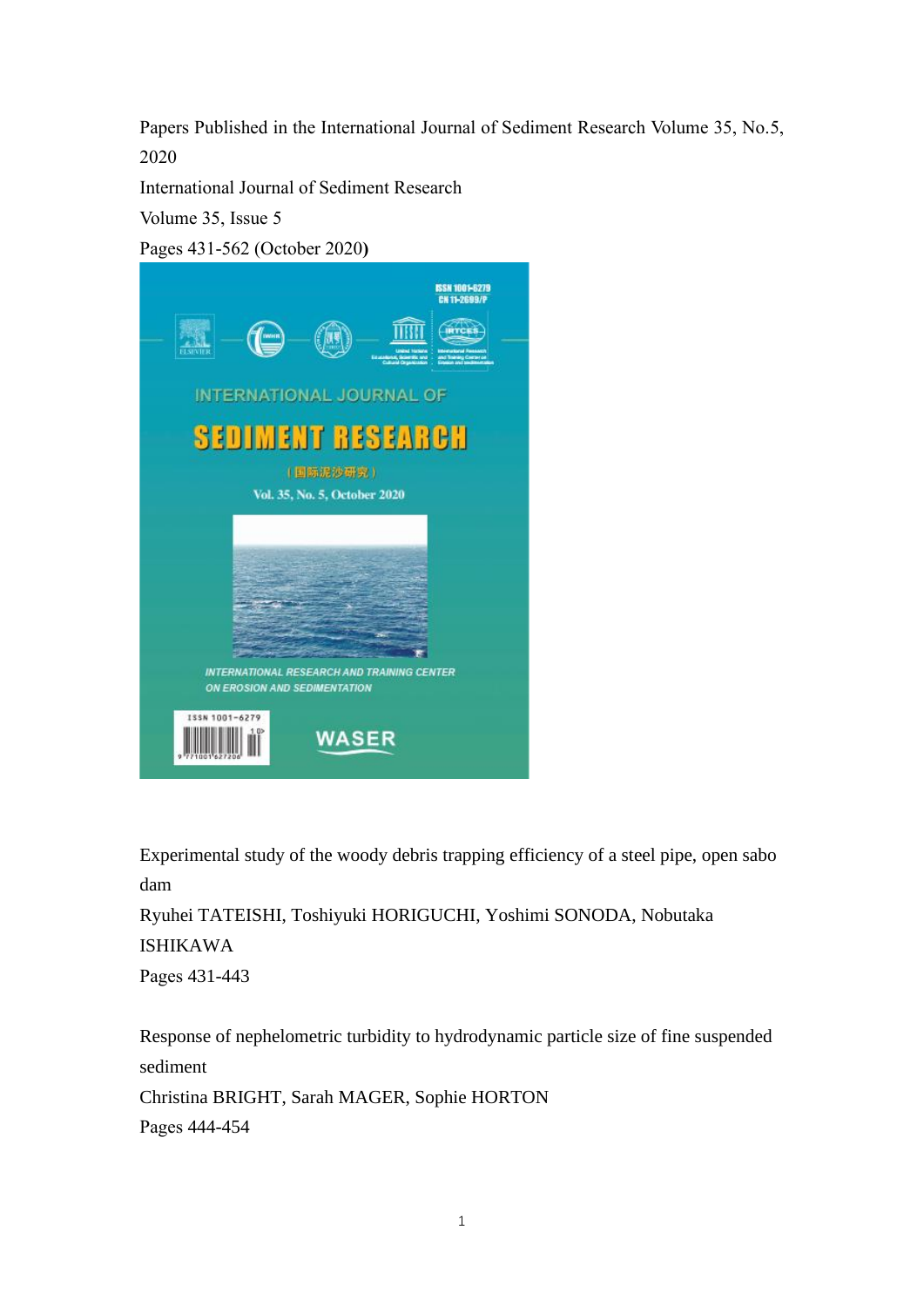Papers Published in the International Journal of Sediment Research Volume 35, No.5, 2020

International Journal of Sediment Research

Volume 35, Issue 5

Pages 431-562 (October 2020**)**



Experimental study of the woody debris trapping efficiency of a steel pipe, open sabo dam

Ryuhei TATEISHI, Toshiyuki HORIGUCHI, Yoshimi SONODA, Nobutaka ISHIKAWA Pages 431-443

Response of nephelometric turbidity to hydrodynamic particle size of fine suspended sediment Christina BRIGHT, Sarah MAGER, Sophie HORTON Pages 444-454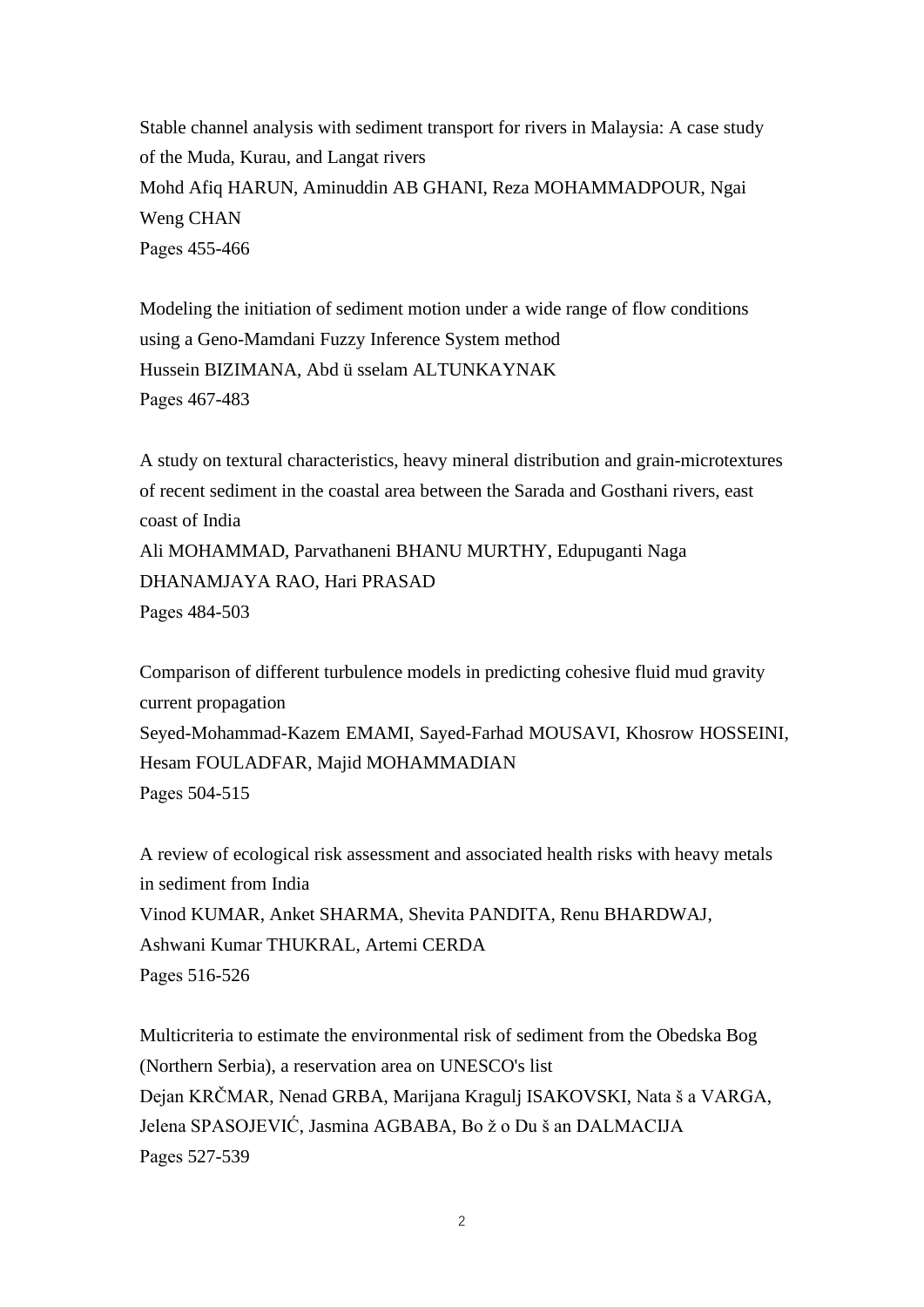Stable channel analysis with sediment transport for rivers in Malaysia: A case study of the Muda, Kurau, and Langat rivers Mohd Afiq HARUN, Aminuddin AB GHANI, Reza MOHAMMADPOUR, Ngai Weng CHAN Pages 455-466

Modeling the initiation of sediment motion under a wide range of flow conditions using a Geno-Mamdani Fuzzy Inference System method Hussein BIZIMANA, Abd ü sselam ALTUNKAYNAK Pages 467-483

A study on textural characteristics, heavy mineral distribution and grain-microtextures of recent sediment in the coastal area between the Sarada and Gosthani rivers, east coast of India Ali MOHAMMAD, Parvathaneni BHANU MURTHY, Edupuganti Naga DHANAMJAYA RAO, Hari PRASAD

Pages 484-503

Comparison of different turbulence models in predicting cohesive fluid mud gravity current propagation Seyed-Mohammad-Kazem EMAMI, Sayed-Farhad MOUSAVI, Khosrow HOSSEINI, Hesam FOULADFAR, Majid MOHAMMADIAN Pages 504-515

A review of ecological risk assessment and associated health risks with heavy metals in sediment from India Vinod KUMAR, Anket SHARMA, Shevita PANDITA, Renu BHARDWAJ, Ashwani Kumar THUKRAL, Artemi CERDA Pages 516-526

Multicriteria to estimate the environmental risk of sediment from the Obedska Bog (Northern Serbia), a reservation area on UNESCO's list Dejan KRČMAR, Nenad GRBA, Marijana Kragulj ISAKOVSKI, Nata š a VARGA, Jelena SPASOJEVIĆ, Jasmina AGBABA, Bo ž o Du š an DALMACIJA Pages 527-539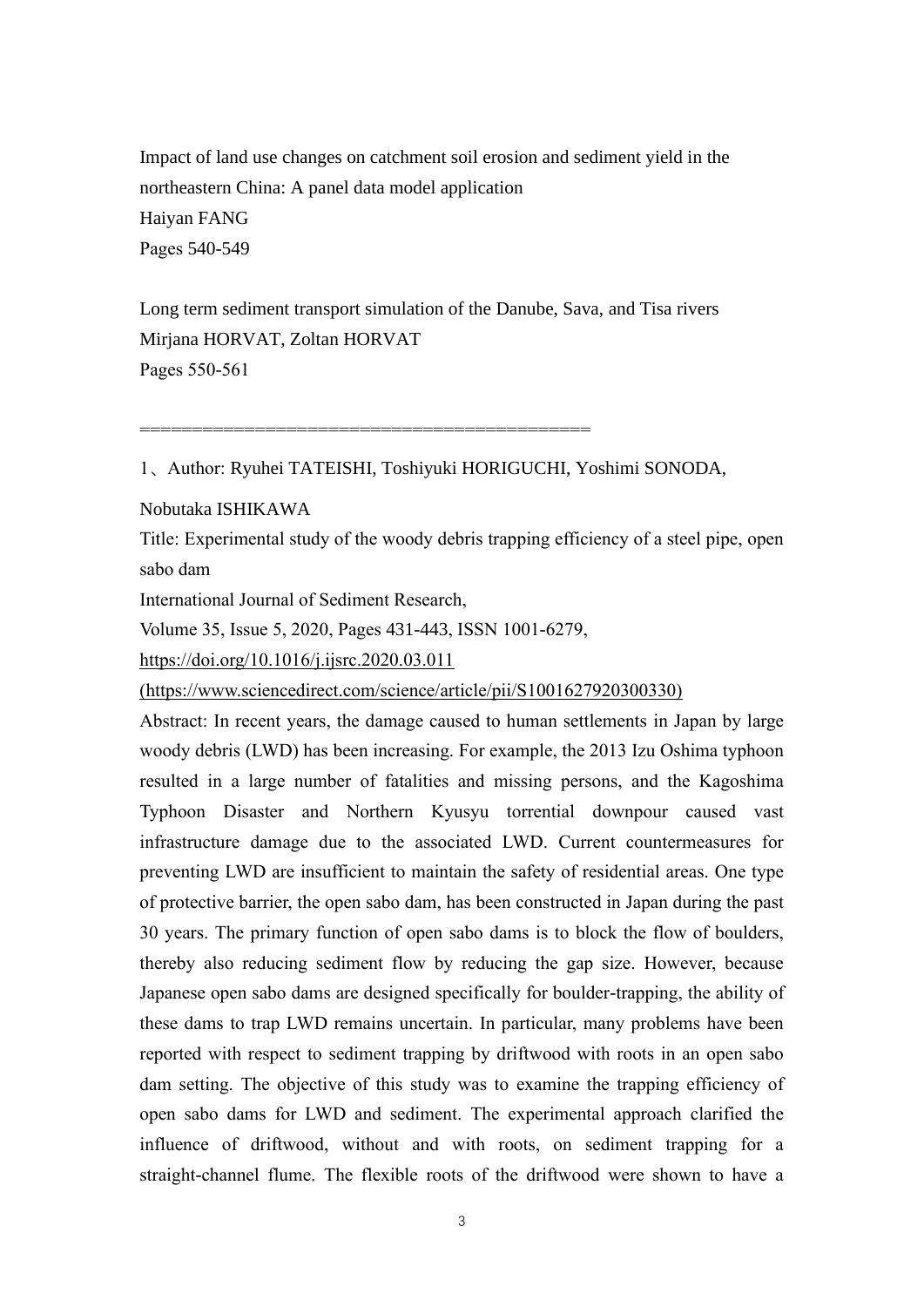Impact of land use changes on catchment soil erosion and sediment yield in the northeastern China: A panel data model application Haiyan FANG Pages 540-549

Long term sediment transport simulation of the Danube, Sava, and Tisa rivers Mirjana HORVAT, Zoltan HORVAT Pages 550-561

===========================================

1、Author: Ryuhei TATEISHI, Toshiyuki HORIGUCHI, Yoshimi SONODA,

Nobutaka ISHIKAWA

Title: Experimental study of the woody debris trapping efficiency of a steel pipe, open sabo dam

International Journal of Sediment Research,

Volume 35, Issue 5, 2020, Pages 431-443, ISSN 1001-6279,

https://doi.org/10.1016/j.ijsrc.2020.03.011

(https://www.sciencedirect.com/science/article/pii/S1001627920300330)

Abstract: In recent years, the damage caused to human settlements in Japan by large woody debris (LWD) has been increasing. For example, the 2013 Izu Oshima typhoon resulted in a large number of fatalities and missing persons, and the Kagoshima Typhoon Disaster and Northern Kyusyu torrential downpour caused vast infrastructure damage due to the associated LWD. Current countermeasures for preventing LWD are insufficient to maintain the safety of residential areas. One type of protective barrier, the open sabo dam, has been constructed in Japan during the past 30 years. The primary function of open sabo dams is to block the flow of boulders, thereby also reducing sediment flow by reducing the gap size. However, because Japanese open sabo dams are designed specifically for boulder-trapping, the ability of these dams to trap LWD remains uncertain. In particular, many problems have been reported with respect to sediment trapping by driftwood with roots in an open sabo dam setting. The objective of this study was to examine the trapping efficiency of open sabo dams for LWD and sediment. The experimental approach clarified the influence of driftwood, without and with roots, on sediment trapping for a straight-channel flume. The flexible roots of the driftwood were shown to have a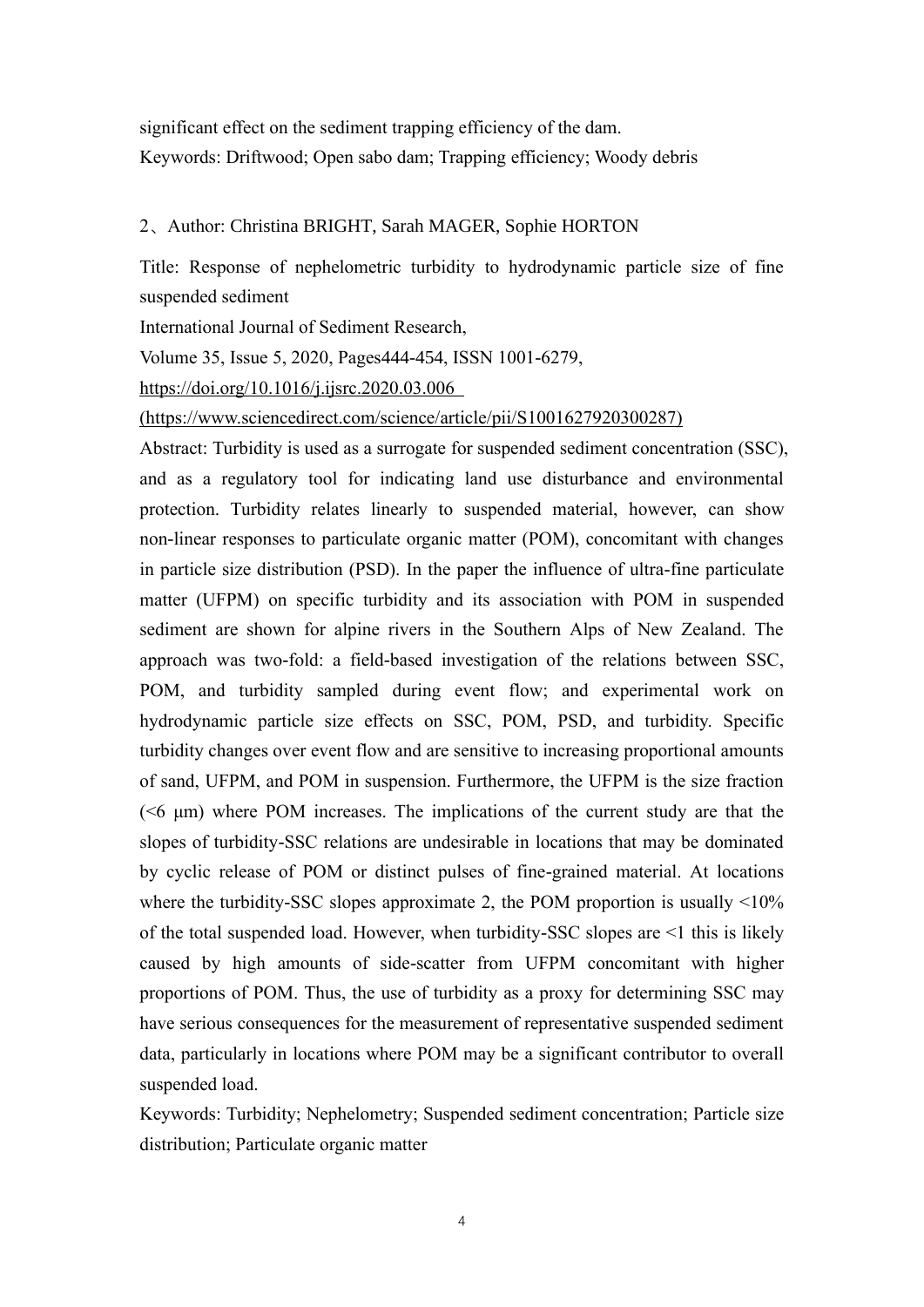significant effect on the sediment trapping efficiency of the dam. Keywords: Driftwood; Open sabo dam; Trapping efficiency; Woody debris

# 2、Author: Christina BRIGHT, Sarah MAGER, Sophie HORTON

Title: Response of nephelometric turbidity to hydrodynamic particle size of fine suspended sediment

International Journal of Sediment Research,

Volume 35, Issue 5, 2020, Pages444-454, ISSN 1001-6279,

<https://doi.org/10.1016/j.ijsrc.2020.03.006>

(https://www.sciencedirect.com/science/article/pii/S1001627920300287)

Abstract: Turbidity is used as a surrogate for suspended sediment concentration (SSC), and as a regulatory tool for indicating land use disturbance and environmental protection. Turbidity relates linearly to suspended material, however, can show non-linear responses to particulate organic matter (POM), concomitant with changes in particle size distribution (PSD). In the paper the influence of ultra-fine particulate matter (UFPM) on specific turbidity and its association with POM in suspended sediment are shown for alpine rivers in the Southern Alps of New Zealand. The approach was two-fold: a field-based investigation of the relations between SSC, POM, and turbidity sampled during event flow; and experimental work on hydrodynamic particle size effects on SSC, POM, PSD, and turbidity. Specific turbidity changes over event flow and are sensitive to increasing proportional amounts of sand, UFPM, and POM in suspension. Furthermore, the UFPM is the size fraction ( $\leq 6$  µm) where POM increases. The implications of the current study are that the slopes of turbidity-SSC relations are undesirable in locations that may be dominated by cyclic release of POM or distinct pulses of fine-grained material. At locations where the turbidity-SSC slopes approximate 2, the POM proportion is usually  $\leq 10\%$ of the total suspended load. However, when turbidity-SSC slopes are <1 this is likely caused by high amounts of side-scatter from UFPM concomitant with higher proportions of POM. Thus, the use of turbidity as a proxy for determining SSC may have serious consequences for the measurement of representative suspended sediment data, particularly in locations where POM may be a significant contributor to overall suspended load.

Keywords: Turbidity; Nephelometry; Suspended sediment concentration; Particle size distribution; Particulate organic matter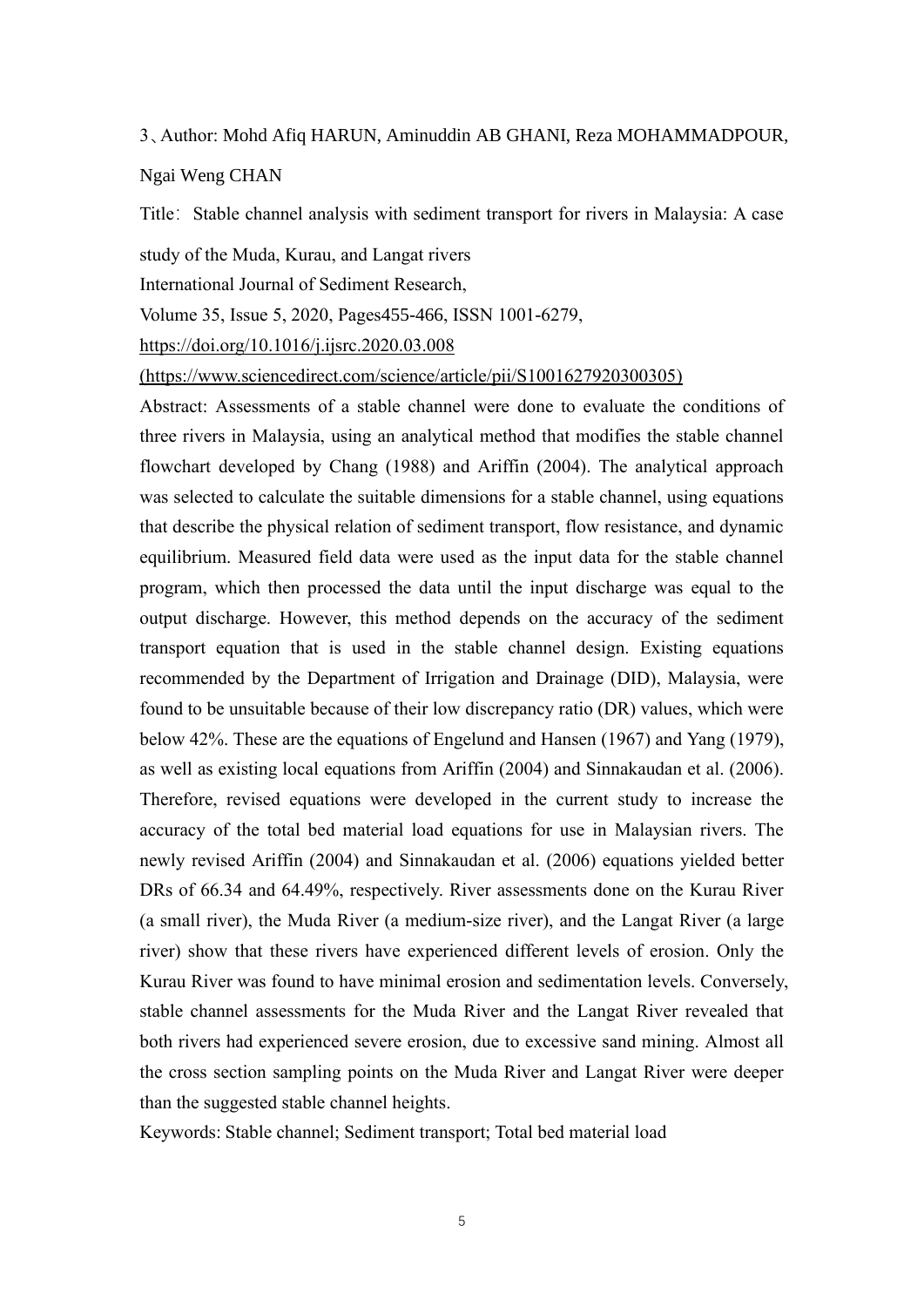#### 3、Author: Mohd Afiq HARUN, Aminuddin AB GHANI, Reza MOHAMMADPOUR,

Ngai Weng CHAN

Title: Stable channel analysis with sediment transport for rivers in Malaysia: A case

study of the Muda, Kurau, and Langat rivers

International Journal of Sediment Research,

Volume 35, Issue 5, 2020, Pages455-466, ISSN 1001-6279,

https://doi.org/10.1016/j.ijsrc.2020.03.008

(https://www.sciencedirect.com/science/article/pii/S1001627920300305)

Abstract: Assessments of a stable channel were done to evaluate the conditions of three rivers in Malaysia, using an analytical method that modifies the stable channel flowchart developed by Chang (1988) and Ariffin (2004). The analytical approach was selected to calculate the suitable dimensions for a stable channel, using equations that describe the physical relation of sediment transport, flow resistance, and dynamic equilibrium. Measured field data were used as the input data for the stable channel program, which then processed the data until the input discharge was equal to the output discharge. However, this method depends on the accuracy of the sediment transport equation that is used in the stable channel design. Existing equations recommended by the Department of Irrigation and Drainage (DID), Malaysia, were found to be unsuitable because of their low discrepancy ratio (DR) values, which were below 42%. These are the equations of Engelund and Hansen (1967) and Yang (1979), as well as existing local equations from Ariffin (2004) and Sinnakaudan et al. (2006). Therefore, revised equations were developed in the current study to increase the accuracy of the total bed material load equations for use in Malaysian rivers. The newly revised Ariffin (2004) and Sinnakaudan et al. (2006) equations yielded better DRs of 66.34 and 64.49%, respectively. River assessments done on the Kurau River (a small river), the Muda River (a medium-size river), and the Langat River (a large river) show that these rivers have experienced different levels of erosion. Only the Kurau River was found to have minimal erosion and sedimentation levels. Conversely, stable channel assessments for the Muda River and the Langat River revealed that both rivers had experienced severe erosion, due to excessive sand mining. Almost all the cross section sampling points on the Muda River and Langat River were deeper than the suggested stable channel heights.

Keywords: Stable channel; Sediment transport; Total bed material load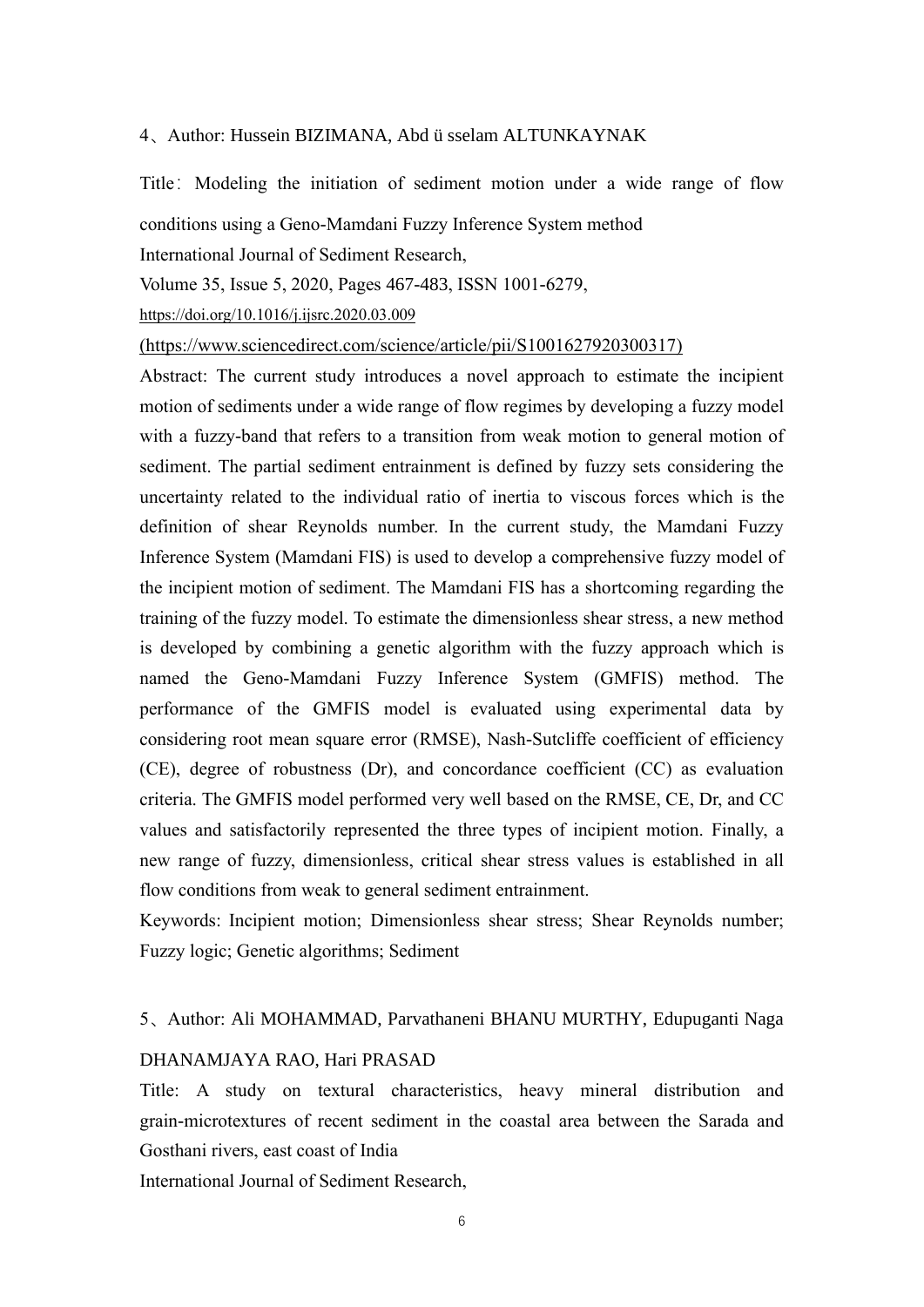### 4、Author: Hussein BIZIMANA, Abd ü sselam ALTUNKAYNAK

Title: Modeling the initiation of sediment motion under a wide range of flow

conditions using a Geno-Mamdani Fuzzy Inference System method

International Journal of Sediment Research,

Volume 35, Issue 5, 2020, Pages 467-483, ISSN 1001-6279,

https://doi.org/10.1016/j.ijsrc.2020.03.009

(https://www.sciencedirect.com/science/article/pii/S1001627920300317)

Abstract: The current study introduces a novel approach to estimate the incipient motion of sediments under a wide range of flow regimes by developing a fuzzy model with a fuzzy-band that refers to a transition from weak motion to general motion of sediment. The partial sediment entrainment is defined by fuzzy sets considering the uncertainty related to the individual ratio of inertia to viscous forces which is the definition of shear Reynolds number. In the current study, the Mamdani Fuzzy Inference System (Mamdani FIS) is used to develop a comprehensive fuzzy model of the incipient motion of sediment. The Mamdani FIS has a shortcoming regarding the training of the fuzzy model. To estimate the dimensionless shear stress, a new method is developed by combining a genetic algorithm with the fuzzy approach which is named the Geno-Mamdani Fuzzy Inference System (GMFIS) method. The performance of the GMFIS model is evaluated using experimental data by considering root mean square error (RMSE), Nash-Sutcliffe coefficient of efficiency (CE), degree of robustness (Dr), and concordance coefficient (CC) as evaluation criteria. The GMFIS model performed very well based on the RMSE, CE, Dr, and CC values and satisfactorily represented the three types of incipient motion. Finally, a new range of fuzzy, dimensionless, critical shear stress values is established in all flow conditions from weak to general sediment entrainment.

Keywords: Incipient motion; Dimensionless shear stress; Shear Reynolds number; Fuzzy logic; Genetic algorithms; Sediment

#### 5、Author: Ali MOHAMMAD, Parvathaneni BHANU MURTHY, Edupuganti Naga

### DHANAMJAYA RAO, Hari PRASAD

Title: A study on textural characteristics, heavy mineral distribution and grain-microtextures of recent sediment in the coastal area between the Sarada and Gosthani rivers, east coast of India

International Journal of Sediment Research,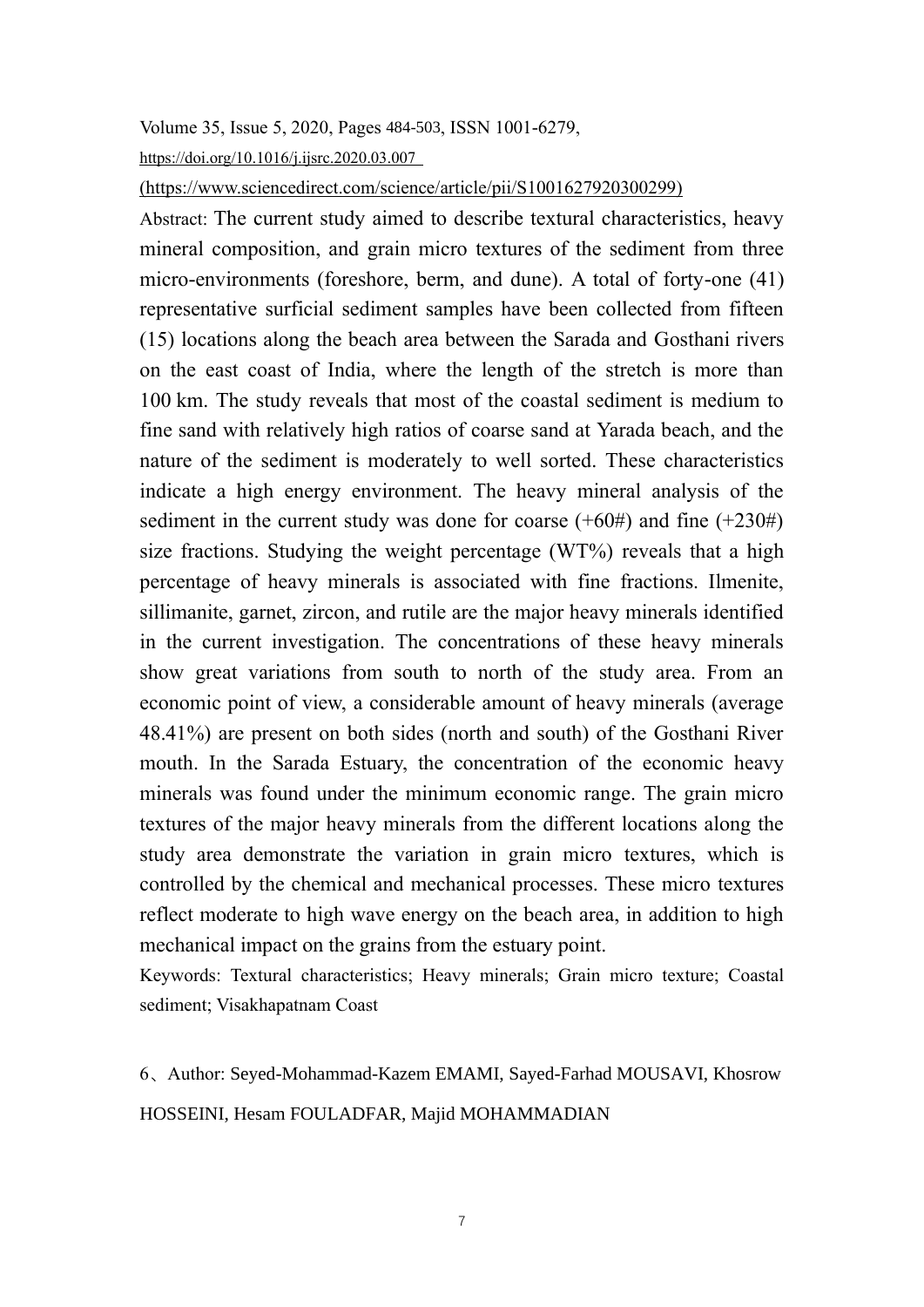## Volume 35, Issue 5, 2020, Pages 484-503, ISSN 1001-6279,

https://doi.org/10.1016/j.ijsrc.2020.03.007

(https://www.sciencedirect.com/science/article/pii/S1001627920300299)

Abstract: The current study aimed to describe textural characteristics, heavy mineral composition, and grain micro textures of the sediment from three micro-environments (foreshore, berm, and dune). A total of forty-one (41) representative surficial sediment samples have been collected from fifteen (15) locations along the beach area between the Sarada and Gosthani rivers on the east coast of India, where the length of the stretch is more than 100 km. The study reveals that most of the coastal sediment is medium to fine sand with relatively high ratios of coarse sand at Yarada beach, and the nature of the sediment is moderately to well sorted. These characteristics indicate a high energy environment. The heavy mineral analysis of the sediment in the current study was done for coarse  $(+60\#)$  and fine  $(+230\#)$ size fractions. Studying the weight percentage (WT%) reveals that a high percentage of heavy minerals is associated with fine fractions. Ilmenite, sillimanite, garnet, zircon, and rutile are the major heavy minerals identified in the current investigation. The concentrations of these heavy minerals show great variations from south to north of the study area. From an economic point of view, a considerable amount of heavy minerals (average 48.41%) are present on both sides (north and south) of the Gosthani River mouth. In the Sarada Estuary, the concentration of the economic heavy minerals was found under the minimum economic range. The grain micro textures of the major heavy minerals from the different locations along the study area demonstrate the variation in grain micro textures, which is controlled by the chemical and mechanical processes. These micro textures reflect moderate to high wave energy on the beach area, in addition to high mechanical impact on the grains from the estuary point.

Keywords: Textural characteristics; Heavy minerals; Grain micro texture; Coastal sediment; Visakhapatnam Coast

6、Author: Seyed-Mohammad-Kazem EMAMI, Sayed-Farhad MOUSAVI, Khosrow HOSSEINI, Hesam FOULADFAR, Majid MOHAMMADIAN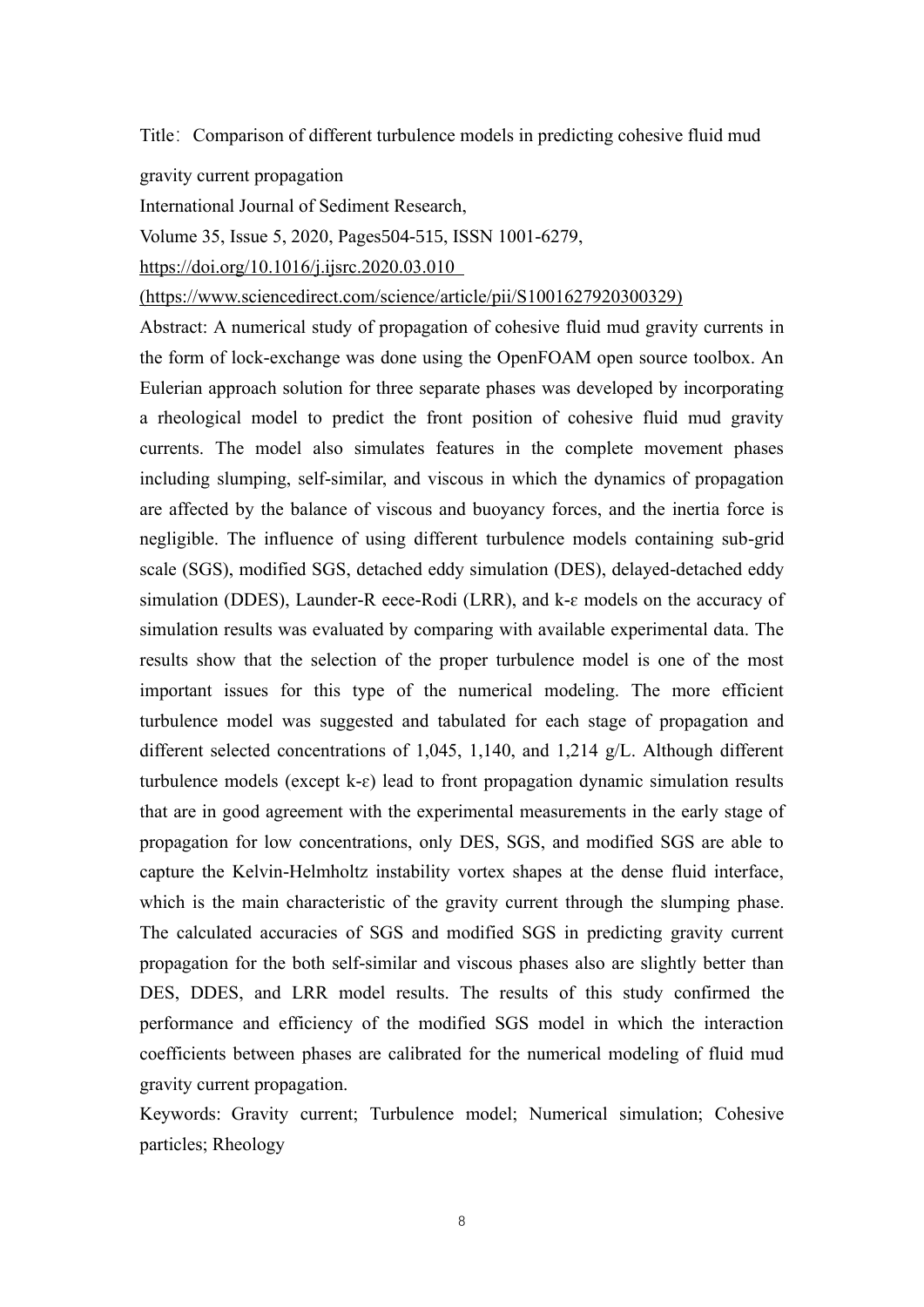Title: Comparison of different turbulence models in predicting cohesive fluid mud

gravity current propagation

International Journal of Sediment Research,

Volume 35, Issue 5, 2020, Pages504-515, ISSN 1001-6279,

<https://doi.org/10.1016/j.ijsrc.2020.03.010>

(https://www.sciencedirect.com/science/article/pii/S1001627920300329)

Abstract: A numerical study of propagation of cohesive fluid mud gravity currents in the form of lock-exchange was done using the OpenFOAM open source toolbox. An Eulerian approach solution for three separate phases was developed by incorporating a rheological model to predict the front position of cohesive fluid mud gravity currents. The model also simulates features in the complete movement phases including slumping, self-similar, and viscous in which the dynamics of propagation are affected by the balance of viscous and buoyancy forces, and the inertia force is negligible. The influence of using different turbulence models containing sub-grid scale (SGS), modified SGS, detached eddy simulation (DES), delayed-detached eddy simulation (DDES), Launder-R eece-Rodi (LRR), and k-ɛ models on the accuracy of simulation results was evaluated by comparing with available experimental data. The results show that the selection of the proper turbulence model is one of the most important issues for this type of the numerical modeling. The more efficient turbulence model was suggested and tabulated for each stage of propagation and different selected concentrations of 1,045, 1,140, and 1,214 g/L. Although different turbulence models (except  $k-\epsilon$ ) lead to front propagation dynamic simulation results that are in good agreement with the experimental measurements in the early stage of propagation for low concentrations, only DES, SGS, and modified SGS are able to capture the Kelvin-Helmholtz instability vortex shapes at the dense fluid interface, which is the main characteristic of the gravity current through the slumping phase. The calculated accuracies of SGS and modified SGS in predicting gravity current propagation for the both self-similar and viscous phases also are slightly better than DES, DDES, and LRR model results. The results of this study confirmed the performance and efficiency of the modified SGS model in which the interaction coefficients between phases are calibrated for the numerical modeling of fluid mud gravity current propagation.

Keywords: Gravity current; Turbulence model; Numerical simulation; Cohesive particles; Rheology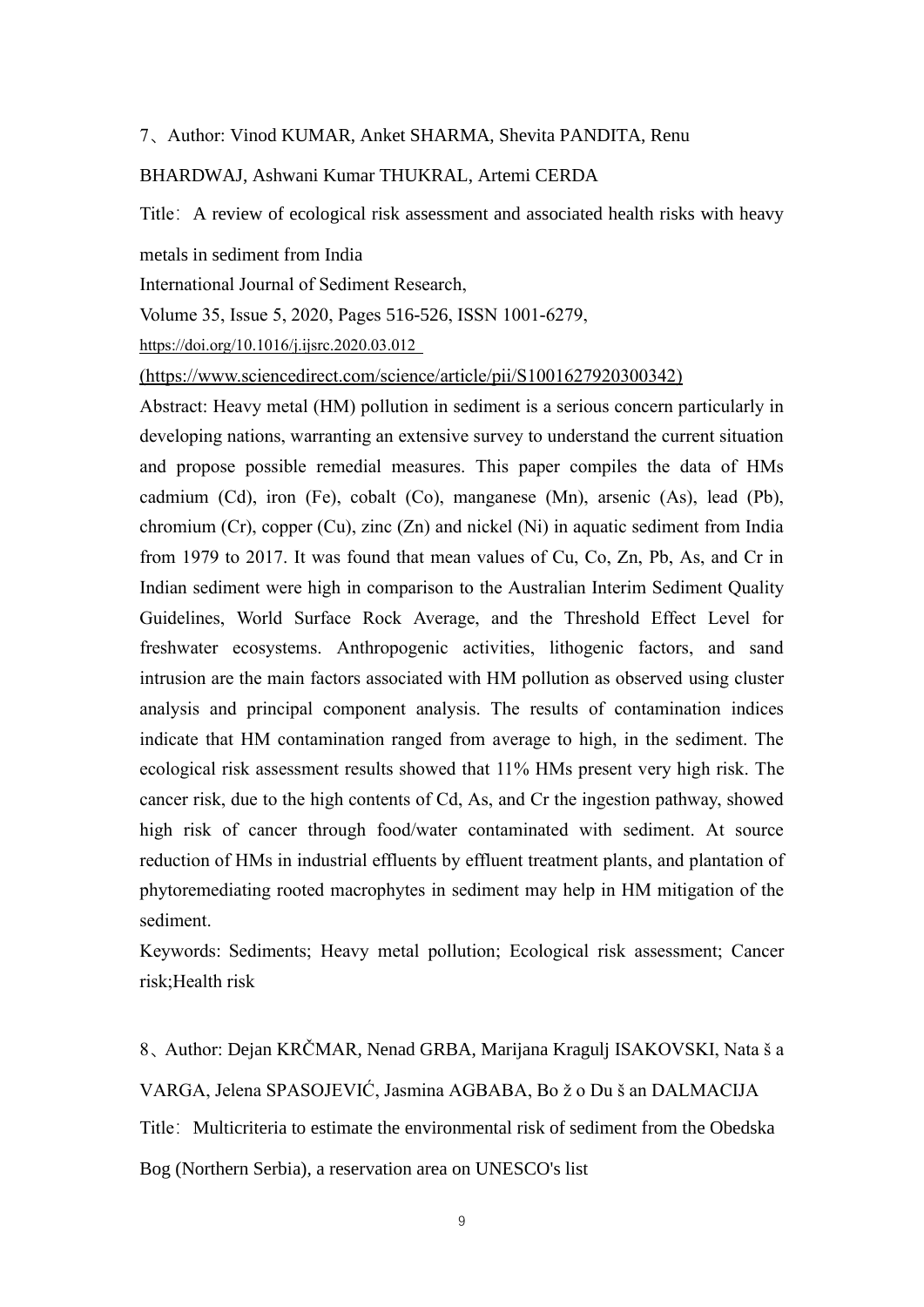### 7、Author: Vinod KUMAR, Anket SHARMA, Shevita PANDITA, Renu

### BHARDWAJ, Ashwani Kumar THUKRAL, Artemi CERDA

Title: A review of ecological risk assessment and associated health risks with heavy

metals in sediment from India

International Journal of Sediment Research,

Volume 35, Issue 5, 2020, Pages 516-526, ISSN 1001-6279,

https://doi.org/10.1016/j.ijsrc.2020.03.012

(https://www.sciencedirect.com/science/article/pii/S1001627920300342)

Abstract: Heavy metal (HM) pollution in sediment is a serious concern particularly in developing nations, warranting an extensive survey to understand the current situation and propose possible remedial measures. This paper compiles the data of HMs cadmium (Cd), iron (Fe), cobalt (Co), manganese (Mn), arsenic (As), lead (Pb), chromium (Cr), copper (Cu), zinc (Zn) and nickel (Ni) in aquatic sediment from India from 1979 to 2017. It was found that mean values of Cu, Co, Zn, Pb, As, and Cr in Indian sediment were high in comparison to the Australian Interim Sediment Quality Guidelines, World Surface Rock Average, and the Threshold Effect Level for freshwater ecosystems. Anthropogenic activities, lithogenic factors, and sand intrusion are the main factors associated with HM pollution as observed using cluster analysis and principal component analysis. The results of contamination indices indicate that HM contamination ranged from average to high, in the sediment. The ecological risk assessment results showed that 11% HMs present very high risk. The cancer risk, due to the high contents of Cd, As, and Cr the ingestion pathway, showed high risk of cancer through food/water contaminated with sediment. At source reduction of HMs in industrial effluents by effluent treatment plants, and plantation of phytoremediating rooted macrophytes in sediment may help in HM mitigation of the sediment.

Keywords: Sediments; Heavy metal pollution; Ecological risk assessment; Cancer risk;Health risk

8、Author: Dejan KRČMAR, Nenad GRBA, Marijana Kragulj ISAKOVSKI, Nata š a VARGA, Jelena SPASOJEVIĆ, Jasmina AGBABA, Bo ž o Du š an DALMACIJA Title: Multicriteria to estimate the environmental risk of sediment from the Obedska Bog (Northern Serbia), a reservation area on UNESCO's list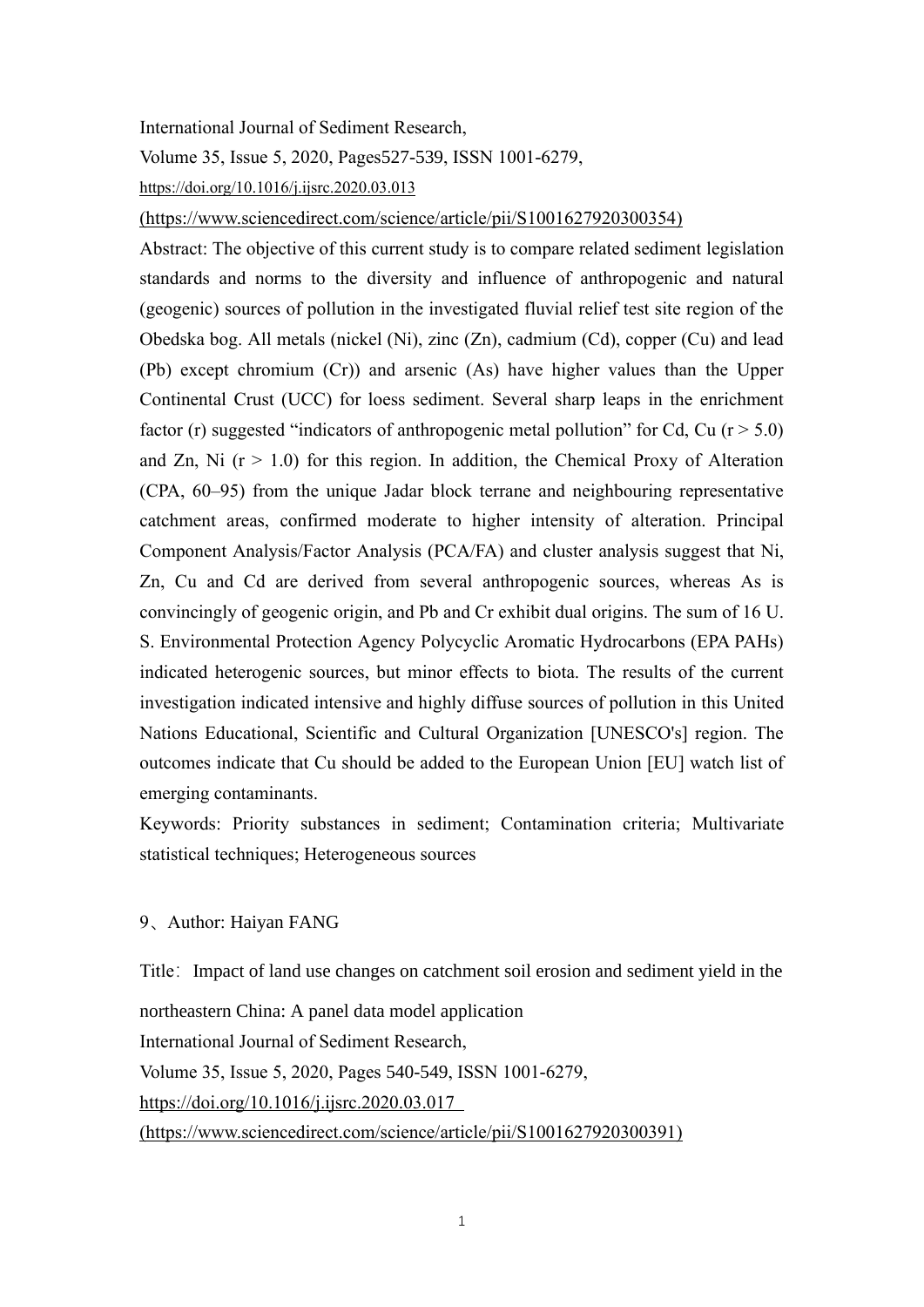## International Journal of Sediment Research,

Volume 35, Issue 5, 2020, Pages527-539, ISSN 1001-6279,

<https://doi.org/10.1016/j.ijsrc.2020.03.013>

(https://www.sciencedirect.com/science/article/pii/S1001627920300354)

Abstract: The objective of this current study is to compare related sediment legislation standards and norms to the diversity and influence of anthropogenic and natural (geogenic) sources of pollution in the investigated fluvial relief test site region of the Obedska bog. All metals (nickel (Ni), zinc (Zn), cadmium (Cd), copper (Cu) and lead (Pb) except chromium (Cr)) and arsenic (As) have higher values than the Upper Continental Crust (UCC) for loess sediment. Several sharp leaps in the enrichment factor (r) suggested "indicators of anthropogenic metal pollution" for Cd, Cu ( $r > 5.0$ ) and Zn, Ni  $(r > 1.0)$  for this region. In addition, the Chemical Proxy of Alteration (CPA, 60–95) from the unique Jadar block terrane and neighbouring representative catchment areas, confirmed moderate to higher intensity of alteration. Principal Component Analysis/Factor Analysis (PCA/FA) and cluster analysis suggest that Ni, Zn, Cu and Cd are derived from several anthropogenic sources, whereas As is convincingly of geogenic origin, and Pb and Cr exhibit dual origins. The sum of 16 U. S. Environmental Protection Agency Polycyclic Aromatic Hydrocarbons (EPA PAHs) indicated heterogenic sources, but minor effects to biota. The results of the current investigation indicated intensive and highly diffuse sources of pollution in this United Nations Educational, Scientific and Cultural Organization [UNESCO's] region. The outcomes indicate that Cu should be added to the European Union [EU] watch list of emerging contaminants.

Keywords: Priority substances in sediment; Contamination criteria; Multivariate statistical techniques; Heterogeneous sources

9、Author: Haiyan FANG

Title: Impact of land use changes on catchment soil erosion and sediment yield in the northeastern China: A panel data model application International Journal of Sediment Research, Volume 35, Issue 5, 2020, Pages 540-549, ISSN 1001-6279, https://doi.org/10.1016/j.ijsrc.2020.03.017 (https://www.sciencedirect.com/science/article/pii/S1001627920300391)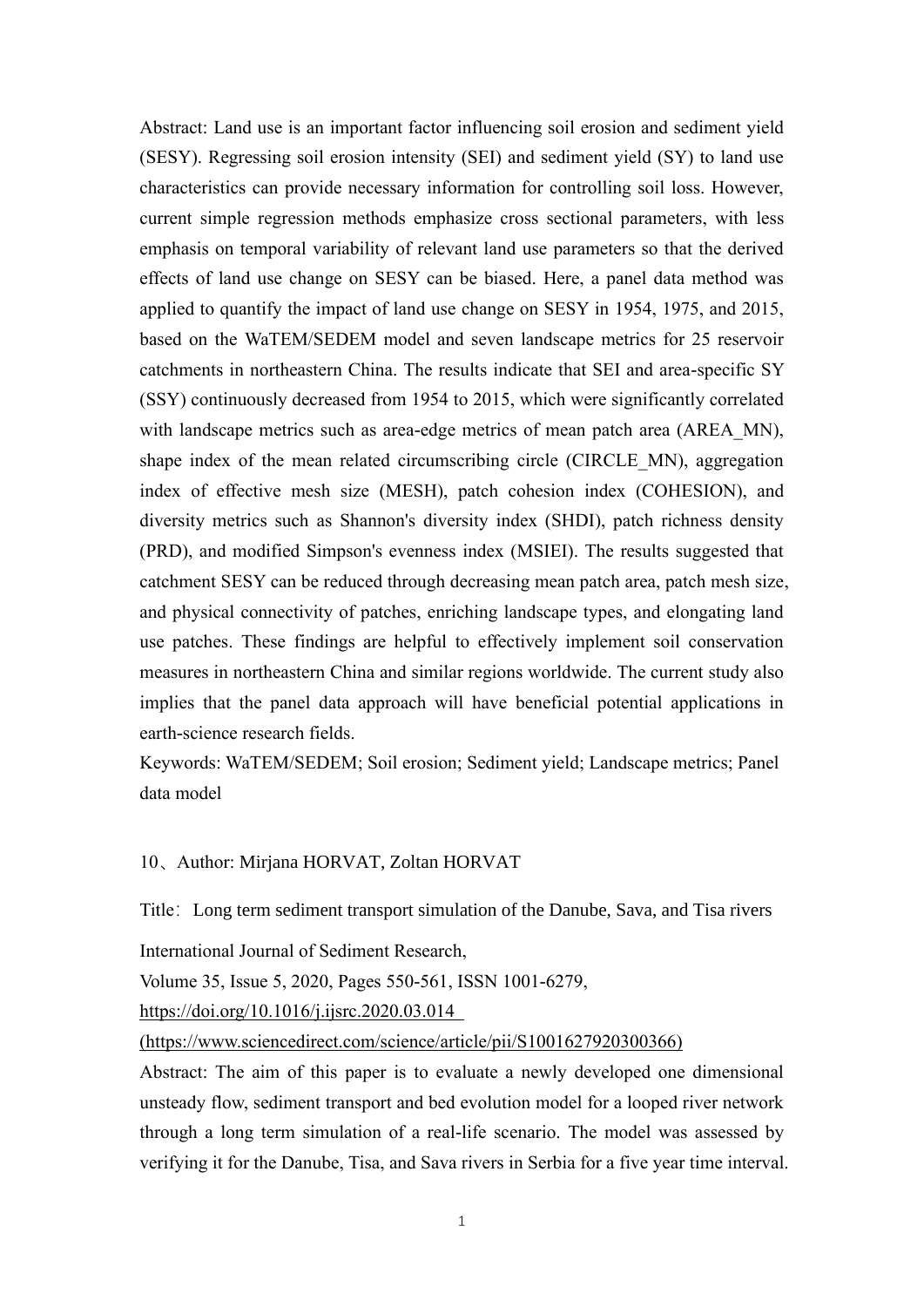Abstract: Land use is an important factor influencing soil erosion and sediment yield (SESY). Regressing soil erosion intensity (SEI) and sediment yield (SY) to land use characteristics can provide necessary information for controlling soil loss. However, current simple regression methods emphasize cross sectional parameters, with less emphasis on temporal variability of relevant land use parameters so that the derived effects of land use change on SESY can be biased. Here, a panel data method was applied to quantify the impact of land use change on SESY in 1954, 1975, and 2015, based on the WaTEM/SEDEM model and seven landscape metrics for 25 reservoir catchments in northeastern China. The results indicate that SEI and area-specific SY (SSY) continuously decreased from 1954 to 2015, which were significantly correlated with landscape metrics such as area-edge metrics of mean patch area (AREA\_MN), shape index of the mean related circumscribing circle (CIRCLE\_MN), aggregation index of effective mesh size (MESH), patch cohesion index (COHESION), and diversity metrics such as Shannon's diversity index (SHDI), patch richness density (PRD), and modified Simpson's evenness index (MSIEI). The results suggested that catchment SESY can be reduced through decreasing mean patch area, patch mesh size, and physical connectivity of patches, enriching landscape types, and elongating land use patches. These findings are helpful to effectively implement soil conservation measures in northeastern China and similar regions worldwide. The current study also implies that the panel data approach will have beneficial potential applications in earth-science research fields.

Keywords: WaTEM/SEDEM; Soil erosion; Sediment yield; Landscape metrics; Panel data model

### 10、Author: Mirjana HORVAT, Zoltan HORVAT

Title: Long term sediment transport simulation of the Danube, Sava, and Tisa rivers

International Journal of Sediment Research,

Volume 35, Issue 5, 2020, Pages 550-561, ISSN 1001-6279,

https://doi.org/10.1016/j.ijsrc.2020.03.014

(https://www.sciencedirect.com/science/article/pii/S1001627920300366)

Abstract: The aim of this paper is to evaluate a newly developed one dimensional unsteady flow, sediment transport and bed evolution model for a looped river network through a long term simulation of a real-life scenario. The model was assessed by verifying it for the Danube, Tisa, and Sava rivers in Serbia for a five year time interval.